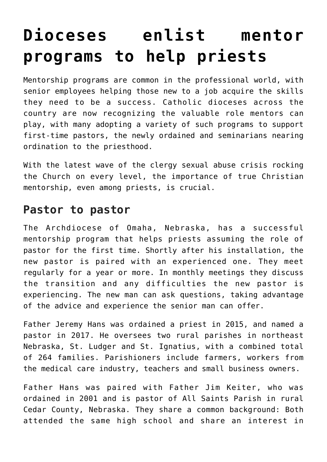## **[Dioceses enlist mentor](https://www.osvnews.com/2018/09/09/dioceses-enlist-mentor-programs-to-help-priests/) [programs to help priests](https://www.osvnews.com/2018/09/09/dioceses-enlist-mentor-programs-to-help-priests/)**

Mentorship programs are common in the professional world, with senior employees helping those new to a job acquire the skills they need to be a success. Catholic dioceses across the country are now recognizing the valuable role mentors can play, with many adopting a variety of such programs to support first-time pastors, the newly ordained and seminarians nearing ordination to the priesthood.

With the latest wave of the clergy sexual abuse crisis rocking the Church on every level, the importance of true Christian mentorship, even among priests, is crucial.

## **Pastor to pastor**

The Archdiocese of Omaha, Nebraska, has a successful mentorship program that helps priests assuming the role of pastor for the first time. Shortly after his installation, the new pastor is paired with an experienced one. They meet regularly for a year or more. In monthly meetings they discuss the transition and any difficulties the new pastor is experiencing. The new man can ask questions, taking advantage of the advice and experience the senior man can offer.

Father Jeremy Hans was ordained a priest in 2015, and named a pastor in 2017. He oversees two rural parishes in northeast Nebraska, St. Ludger and St. Ignatius, with a combined total of 264 families. Parishioners include farmers, workers from the medical care industry, teachers and small business owners.

Father Hans was paired with Father Jim Keiter, who was ordained in 2001 and is pastor of All Saints Parish in rural Cedar County, Nebraska. They share a common background: Both attended the same high school and share an interest in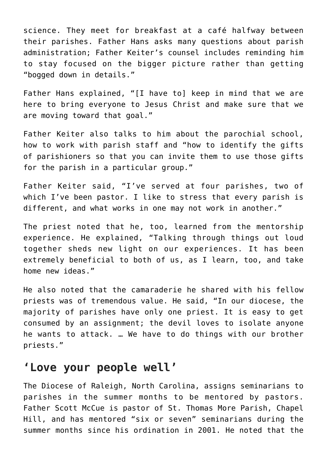science. They meet for breakfast at a café halfway between their parishes. Father Hans asks many questions about parish administration; Father Keiter's counsel includes reminding him to stay focused on the bigger picture rather than getting "bogged down in details."

Father Hans explained, "[I have to] keep in mind that we are here to bring everyone to Jesus Christ and make sure that we are moving toward that goal."

Father Keiter also talks to him about the parochial school, how to work with parish staff and "how to identify the gifts of parishioners so that you can invite them to use those gifts for the parish in a particular group."

Father Keiter said, "I've served at four parishes, two of which I've been pastor. I like to stress that every parish is different, and what works in one may not work in another."

The priest noted that he, too, learned from the mentorship experience. He explained, "Talking through things out loud together sheds new light on our experiences. It has been extremely beneficial to both of us, as I learn, too, and take home new ideas."

He also noted that the camaraderie he shared with his fellow priests was of tremendous value. He said, "In our diocese, the majority of parishes have only one priest. It is easy to get consumed by an assignment; the devil loves to isolate anyone he wants to attack. … We have to do things with our brother priests."

## **'Love your people well'**

The Diocese of Raleigh, North Carolina, assigns seminarians to parishes in the summer months to be mentored by pastors. Father Scott McCue is pastor of St. Thomas More Parish, Chapel Hill, and has mentored "six or seven" seminarians during the summer months since his ordination in 2001. He noted that the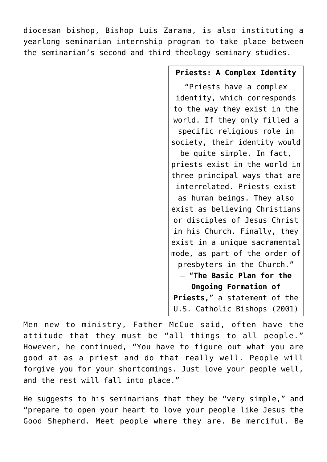diocesan bishop, Bishop Luis Zarama, is also instituting a yearlong seminarian internship program to take place between the seminarian's second and third theology seminary studies.

> **Priests: A Complex Identity** "Priests have a complex identity, which corresponds to the way they exist in the world. If they only filled a specific religious role in society, their identity would be quite simple. In fact, priests exist in the world in three principal ways that are interrelated. Priests exist as human beings. They also exist as believing Christians or disciples of Jesus Christ in his Church. Finally, they exist in a unique sacramental mode, as part of the order of presbyters in the Church." — "**The Basic Plan for the Ongoing Formation of Priests,**" a statement of the U.S. Catholic Bishops (2001)

Men new to ministry, Father McCue said, often have the attitude that they must be "all things to all people." However, he continued, "You have to figure out what you are good at as a priest and do that really well. People will forgive you for your shortcomings. Just love your people well, and the rest will fall into place."

He suggests to his seminarians that they be "very simple," and "prepare to open your heart to love your people like Jesus the Good Shepherd. Meet people where they are. Be merciful. Be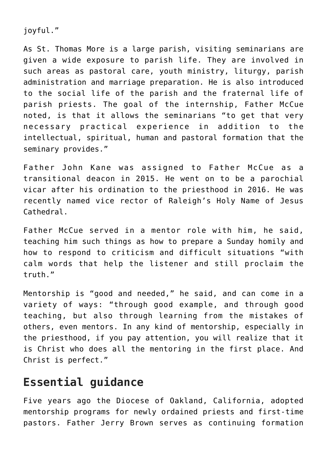joyful."

As St. Thomas More is a large parish, visiting seminarians are given a wide exposure to parish life. They are involved in such areas as pastoral care, youth ministry, liturgy, parish administration and marriage preparation. He is also introduced to the social life of the parish and the fraternal life of parish priests. The goal of the internship, Father McCue noted, is that it allows the seminarians "to get that very necessary practical experience in addition to the intellectual, spiritual, human and pastoral formation that the seminary provides."

Father John Kane was assigned to Father McCue as a transitional deacon in 2015. He went on to be a parochial vicar after his ordination to the priesthood in 2016. He was recently named vice rector of Raleigh's Holy Name of Jesus Cathedral.

Father McCue served in a mentor role with him, he said, teaching him such things as how to prepare a Sunday homily and how to respond to criticism and difficult situations "with calm words that help the listener and still proclaim the truth."

Mentorship is "good and needed," he said, and can come in a variety of ways: "through good example, and through good teaching, but also through learning from the mistakes of others, even mentors. In any kind of mentorship, especially in the priesthood, if you pay attention, you will realize that it is Christ who does all the mentoring in the first place. And Christ is perfect."

## **Essential guidance**

Five years ago the Diocese of Oakland, California, adopted mentorship programs for newly ordained priests and first-time pastors. Father Jerry Brown serves as continuing formation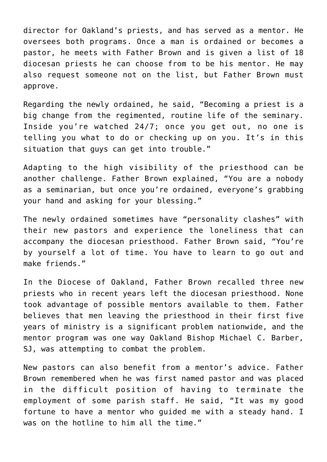director for Oakland's priests, and has served as a mentor. He oversees both programs. Once a man is ordained or becomes a pastor, he meets with Father Brown and is given a list of 18 diocesan priests he can choose from to be his mentor. He may also request someone not on the list, but Father Brown must approve.

Regarding the newly ordained, he said, "Becoming a priest is a big change from the regimented, routine life of the seminary. Inside you're watched 24/7; once you get out, no one is telling you what to do or checking up on you. It's in this situation that guys can get into trouble."

Adapting to the high visibility of the priesthood can be another challenge. Father Brown explained, "You are a nobody as a seminarian, but once you're ordained, everyone's grabbing your hand and asking for your blessing."

The newly ordained sometimes have "personality clashes" with their new pastors and experience the loneliness that can accompany the diocesan priesthood. Father Brown said, "You're by yourself a lot of time. You have to learn to go out and make friends."

In the Diocese of Oakland, Father Brown recalled three new priests who in recent years left the diocesan priesthood. None took advantage of possible mentors available to them. Father believes that men leaving the priesthood in their first five years of ministry is a significant problem nationwide, and the mentor program was one way Oakland Bishop Michael C. Barber, SJ, was attempting to combat the problem.

New pastors can also benefit from a mentor's advice. Father Brown remembered when he was first named pastor and was placed in the difficult position of having to terminate the employment of some parish staff. He said, "It was my good fortune to have a mentor who guided me with a steady hand. I was on the hotline to him all the time."